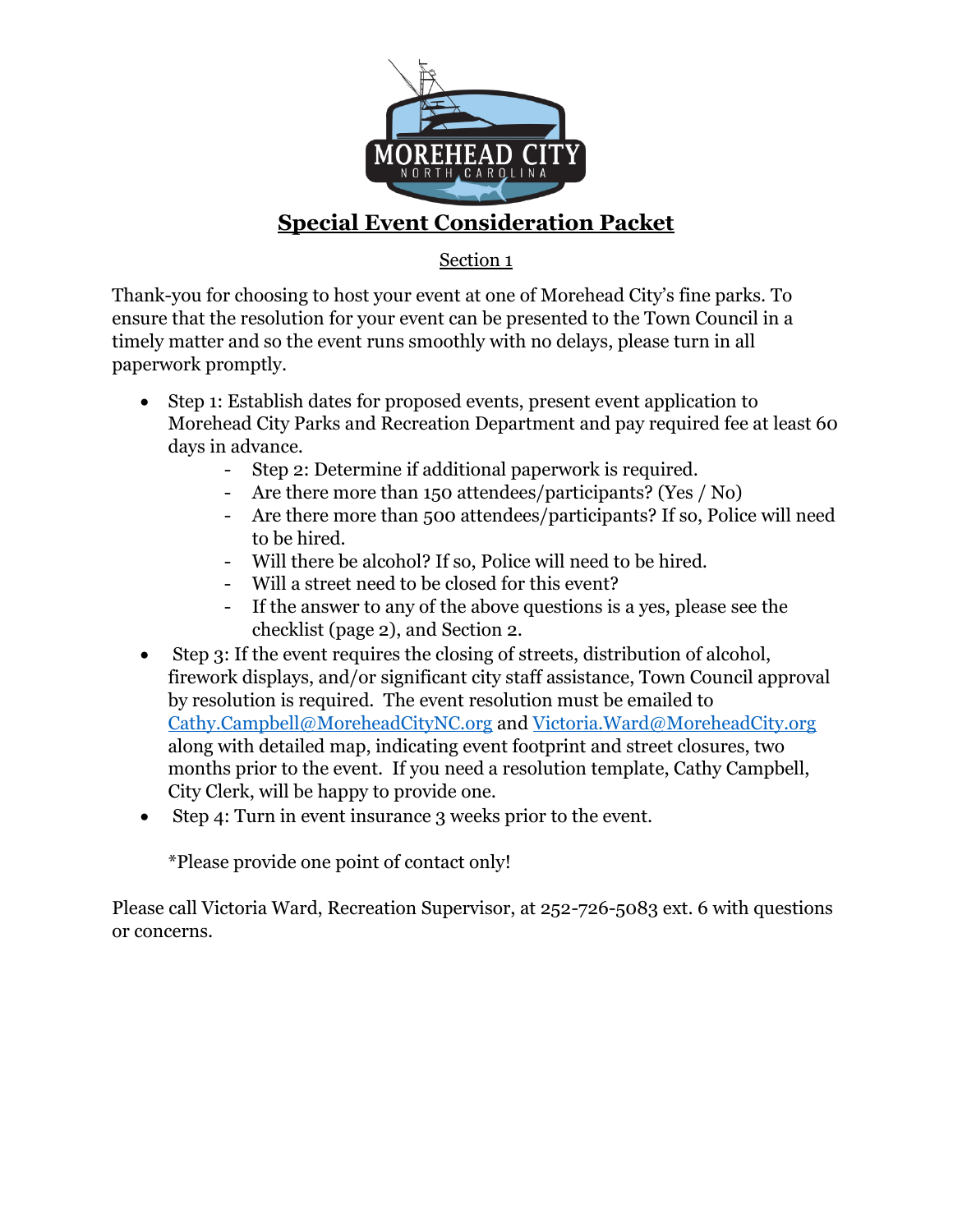

## **Special Event Consideration Packet**

## Section 1

Thank-you for choosing to host your event at one of Morehead City's fine parks. To ensure that the resolution for your event can be presented to the Town Council in a timely matter and so the event runs smoothly with no delays, please turn in all paperwork promptly.

- Step 1: Establish dates for proposed events, present event application to Morehead City Parks and Recreation Department and pay required fee at least 60 days in advance.
	- Step 2: Determine if additional paperwork is required.
	- Are there more than 150 attendees/participants? (Yes / No)
	- Are there more than 500 attendees/participants? If so, Police will need to be hired.
	- Will there be alcohol? If so, Police will need to be hired.
	- Will a street need to be closed for this event?
	- If the answer to any of the above questions is a yes, please see the checklist (page 2), and Section 2.
- Step 3: If the event requires the closing of streets, distribution of alcohol, firework displays, and/or significant city staff assistance, Town Council approval by resolution is required. The event resolution must be emailed to [Cathy.Campbell@MoreheadCityNC.org](mailto:Cathy.Campbell@MoreheadCityNC.org) and [Victoria.Ward@MoreheadCity.org](mailto:Victoria.Ward@MoreheadCity.org) along with detailed map, indicating event footprint and street closures, two months prior to the event. If you need a resolution template, Cathy Campbell, City Clerk, will be happy to provide one.
- Step 4: Turn in event insurance 3 weeks prior to the event.

\*Please provide one point of contact only!

Please call Victoria Ward, Recreation Supervisor, at 252-726-5083 ext. 6 with questions or concerns.